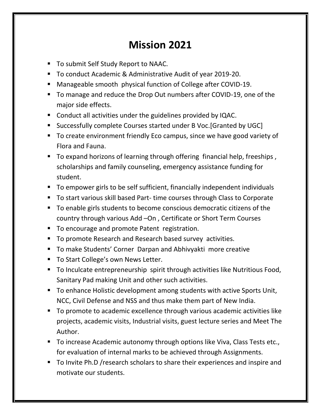## **Mission 2021**

- To submit Self Study Report to NAAC.
- To conduct Academic & Administrative Audit of year 2019-20.
- Manageable smooth physical function of College after COVID-19.
- To manage and reduce the Drop Out numbers after COVID-19, one of the major side effects.
- Conduct all activities under the guidelines provided by IQAC.
- Successfully complete Courses started under B Voc. [Granted by UGC]
- To create environment friendly Eco campus, since we have good variety of Flora and Fauna.
- To expand horizons of learning through offering financial help, freeships, scholarships and family counseling, emergency assistance funding for student.
- To empower girls to be self sufficient, financially independent individuals
- To start various skill based Part- time courses through Class to Corporate
- To enable girls students to become conscious democratic citizens of the country through various Add –On , Certificate or Short Term Courses
- To encourage and promote Patent registration.
- To promote Research and Research based survey activities.
- To make Students' Corner Darpan and Abhivyakti more creative
- To Start College's own News Letter.
- To Inculcate entrepreneurship spirit through activities like Nutritious Food, Sanitary Pad making Unit and other such activities.
- To enhance Holistic development among students with active Sports Unit, NCC, Civil Defense and NSS and thus make them part of New India.
- To promote to academic excellence through various academic activities like projects, academic visits, Industrial visits, guest lecture series and Meet The Author.
- To increase Academic autonomy through options like Viva, Class Tests etc., for evaluation of internal marks to be achieved through Assignments.
- To Invite Ph.D / research scholars to share their experiences and inspire and motivate our students.